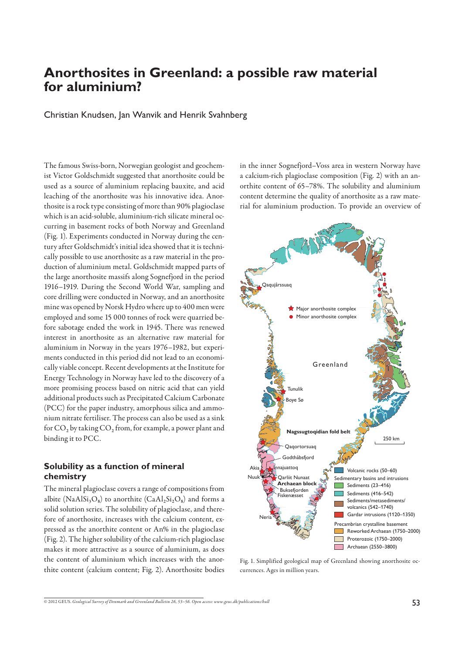# **Anorthosites in Greenland: a possible raw material for aluminium?**

Christian Knudsen, Jan Wanvik and Henrik Svahnberg

The famous Swiss-born, Norwegian geologist and geochemist Victor Goldschmidt suggested that anorthosite could be used as a source of aluminium replacing bauxite, and acid leaching of the anorthosite was his innovative idea. Anorthosite is a rock type consisting of more than 90% plagioclase which is an acid-soluble, aluminium-rich silicate mineral occurring in basement rocks of both Norway and Greenland (Fig. 1). Experiments conducted in Norway during the century after Goldschmidt's initial idea showed that it is technically possible to use anorthosite as a raw material in the production of aluminium metal. Goldschmidt mapped parts of the large anorthosite massifs along Sognefjord in the period 1916–1919. During the Second World War, sampling and core drilling were conducted in Norway, and an anorthosite mine was opened by Norsk Hydro where up to 400 men were employed and some 15 000 tonnes of rock were quarried before sabotage ended the work in 1945. There was renewed interest in anorthosite as an alternative raw material for aluminium in Norway in the years 1976–1982, but experiments conducted in this period did not lead to an economically viable concept. Recent developments at the Institute for Energy Technology in Norway have led to the discovery of a more promising process based on nitric acid that can yield additional products such as Precipitated Calcium Carbonate (PCC) for the paper industry, amorphous silica and ammonium nitrate fertiliser. The process can also be used as a sink for CO**2** by taking CO**2** from, for example, a power plant and binding it to PCC.

## **Solubility as a function of mineral chemistry**

The mineral plagioclase covers a range of compositions from albite (NaAl $Si_3O_8$ ) to anorthite (CaAl<sub>2</sub>Si<sub>2</sub>O<sub>8</sub>) and forms a solid solution series. The solubility of plagioclase, and therefore of anorthosite, increases with the calcium content, expressed as the anorthite content or An% in the plagioclase (Fig. 2). The higher solubility of the calcium-rich plagioclase makes it more attractive as a source of aluminium, as does the content of aluminium which increases with the anorthite content (calcium content; Fig. 2). Anorthosite bodies in the inner Sognefjord–Voss area in western Norway have a calcium-rich plagioclase composition (Fig. 2) with an anorthite content of 65–78%. The solubility and aluminium content determine the quality of anorthosite as a raw material for aluminium production. To provide an overview of



Fig. 1. Simplified geological map of Greenland showing anorthosite occurrences. Ages in million years.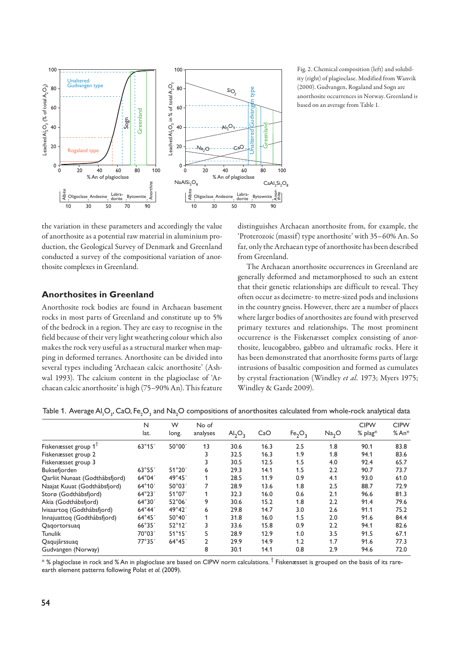

the variation in these parameters and accordingly the value of anorthosite as a potential raw material in aluminium production, the Geological Survey of Denmark and Greenland conducted a survey of the compositional variation of anorthosite complexes in Greenland.

## **Anorthosites in Greenland**

Anorthosite rock bodies are found in Archaean basement rocks in most parts of Greenland and constitute up to 5% of the bedrock in a region. They are easy to recognise in the field because of their very light weathering colour which also makes the rock very useful as a structural marker when mapping in deformed terranes. Anorthosite can be divided into several types including 'Archaean calcic anorthosite' (Ashwal 1993). The calcium content in the plagioclase of 'Archaean calcic anorthosite' is high (75–90% An). This feature

Fig. 2. Chemical composition (left) and solubility (right) of plagioclase. Modified from Wanvik (2000). Gudvangen, Rogaland and Sogn are anorthosite occurrences in Norway. Greenland is based on an average from Table 1.

distinguishes Archaean anorthosite from, for example, the 'Proterozoic (massif) type anorthosite' with 35–60% An. So far, only the Archaean type of anorthosite has been described from Greenland.

The Archaean anorthosite occurrences in Greenland are generally deformed and metamorphosed to such an extent that their genetic relationships are difficult to reveal. They often occur as decimetre- to metre-sized pods and inclusions in the country gneiss. However, there are a number of places where larger bodies of anorthosites are found with preserved primary textures and relationships. The most prominent occurrence is the Fiskenæsset complex consisting of anorthosite, leucogabbro, gabbro and ultramafic rocks. Here it has been demonstrated that anorthosite forms parts of large intrusions of basaltic composition and formed as cumulates by crystal fractionation (Windley *et al.* 1973; Myers 1975; Windley & Garde 2009).

| Table 1. Average Al <sub>2</sub> O <sub>3</sub> , CaO, Fe <sub>2</sub> O <sub>3</sub> and Na <sub>2</sub> O compositions of anorthosites calculated from whole-rock analytical data |  |  |  |
|-------------------------------------------------------------------------------------------------------------------------------------------------------------------------------------|--|--|--|
|-------------------------------------------------------------------------------------------------------------------------------------------------------------------------------------|--|--|--|

|                                | N<br>lat.       | W<br>long.      | No of<br>analyses | Al <sub>2</sub> O <sub>3</sub> | CaO  | Fe <sub>2</sub> O <sub>3</sub> | Na <sub>2</sub> O | <b>CIPW</b><br>% plag* | <b>CIPW</b><br>$%An*$ |
|--------------------------------|-----------------|-----------------|-------------------|--------------------------------|------|--------------------------------|-------------------|------------------------|-----------------------|
|                                |                 |                 |                   |                                |      |                                |                   |                        |                       |
| Fiskenæsset group $1^T$        | $63^{\circ}15'$ | 50°00'          | 13                | 30.6                           | 16.3 | 2.5                            | 1.8               | 90.1                   | 83.8                  |
| Fiskenæsset group 2            |                 |                 | 3                 | 32.5                           | 16.3 | 1.9                            | 1.8               | 94.1                   | 83.6                  |
| Fiskenæsset group 3            |                 |                 | 3                 | 30.5                           | 12.5 | 1.5                            | 4.0               | 92.4                   | 65.7                  |
| Buksefjorden                   | 63°55'          | 51°20'          | 6                 | 29.3                           | 14.1 | 1.5                            | 2.2               | 90.7                   | 73.7                  |
| Qarliit Nunaat (Godthåbsfjord) | $64^{\circ}04'$ | 49°45'          |                   | 28.5                           | 11.9 | 0.9                            | 4.1               | 93.0                   | 61.0                  |
| Naajat Kuuat (Godthåbsfjord)   | $64^{\circ}10'$ | 50°03'          | 7                 | 28.9                           | 13.6 | 1.8                            | 2.5               | 88.7                   | 72.9                  |
| Storø (Godthåbsfjord)          | $64^{\circ}23'$ | 51°07′          |                   | 32.3                           | 16.0 | 0.6                            | 2.1               | 96.6                   | 81.3                  |
| Akia (Godthåbsfjord)           | $64^\circ30'$   | 52°06'          | 9                 | 30.6                           | 15.2 | 1.8                            | 2.2               | 91.4                   | 79.6                  |
| Ivisaartog (Godthåbsfjord)     | $64^\circ 44'$  | $49^{\circ}42'$ | 6                 | 29.8                           | 14.7 | 3.0                            | 2.6               | 91.1                   | 75.2                  |
| Innajuattoq (Godthåbsfjord)    | $64^{\circ}45'$ | 50°40'          | 1                 | 31.8                           | 16.0 | 1.5                            | 2.0               | 91.6                   | 84.4                  |
| Qagortorsuag                   | 66°35′          | $52^{\circ}12'$ | 3                 | 33.6                           | 15.8 | 0.9                            | 2.2               | 94.1                   | 82.6                  |
| <b>Tunulik</b>                 | 70°03′          | $51^\circ 15'$  | 5                 | 28.9                           | 12.9 | 1.0                            | 3.5               | 91.5                   | 67.1                  |
| Qaqujârssuaq                   | 77°35'          | $64^{\circ}45'$ | $\overline{2}$    | 29.9                           | 14.9 | 1.2                            | 1.7               | 91.6                   | 77.3                  |
| Gudvangen (Norway)             |                 |                 | 8                 | 30.1                           | 14.1 | 0.8                            | 2.9               | 94.6                   | 72.0                  |

 $^*$  % plagioclase in rock and % An in plagioclase are based on CIPW norm calculations.  $^\dagger$  Fiskenæsset is grouped on the basis of its rareearth element patterns following Polat et al. (2009).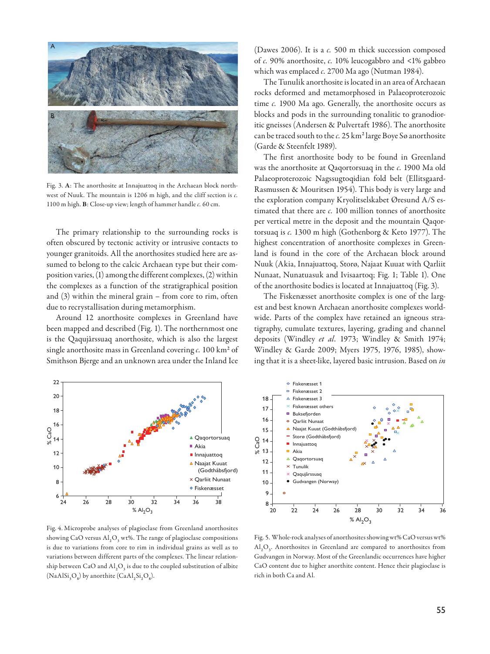

Fig. 3. **A**: The anorthosite at Innajuattoq in the Archaean block northwest of Nuuk. The mountain is 1206 m high, and the cliff section is *c.* 1100 m high. **B**: Close-up view; length of hammer handle *c.* 60 cm.

The primary relationship to the surrounding rocks is often obscured by tectonic activity or intrusive contacts to younger granitoids. All the anorthosites studied here are assumed to belong to the calcic Archaean type but their composition varies, (1) among the different complexes, (2) within the complexes as a function of the stratigraphical position and (3) within the mineral grain – from core to rim, often due to recrystallisation during metamorphism.

Around 12 anorthosite complexes in Greenland have been mapped and described (Fig. 1). The northernmost one is the Qaqujârssuaq anorthosite, which is also the largest single anorthosite mass in Greenland covering *c.* 100 km**<sup>2</sup>** of Smithson Bjerge and an unknown area under the Inland Ice



Fig. 4. Microprobe analyses of plagioclase from Greenland anorthosites showing CaO versus Al<sub>2</sub>O<sub>3</sub> wt%. The range of plagioclase compositions is due to variations from core to rim in individual grains as well as to variations between different parts of the complexes. The linear relationship between CaO and  $\text{Al}_2\text{O}_3$  is due to the coupled substitution of albite  $(NaAISi<sub>3</sub>O<sub>8</sub>)$  by anorthite  $(CaAI<sub>2</sub>Si<sub>2</sub>O<sub>8</sub>)$ .

(Dawes 2006). It is a *c.* 500 m thick succession composed of *c.* 90% anorthosite, *c.* 10% leucogabbro and <1% gabbro which was emplaced *c.* 2700 Ma ago (Nutman 1984).

The Tunulik anorthosite is located in an area of Archaean rocks deformed and metamorphosed in Palaeoproterozoic time *c.* 1900 Ma ago. Generally, the anorthosite occurs as blocks and pods in the surrounding tonalitic to granodioritic gneisses (Andersen & Pulvertaft 1986). The anorthosite can be traced south to the *c*. 25 km<sup>2</sup> large Boye Sø anorthosite (Garde & Steenfelt 1989).

The first anorthosite body to be found in Greenland was the anorthosite at Qaqortorsuaq in the *c.* 1900 Ma old Palaeoproterozoic Nagssugtoqidian fold belt (Ellitsgaard-Rasmussen & Mouritsen 1954). This body is very large and the exploration company Kryolitselskabet Øresund A/S estimated that there are *c.* 100 million tonnes of anorthosite per vertical metre in the deposit and the mountain Qaqortorsuaq is *c.* 1300 m high (Gothenborg & Keto 1977). The highest concentration of anorthosite complexes in Greenland is found in the core of the Archaean block around Nuuk (Akia, Innajuattoq, Storø, Najaat Kuuat with Qarliit Nunaat, Nunatuasuk and Ivisaartoq; Fig. 1; Table 1). One of the anorthosite bodies is located at Innajuattoq (Fig. 3).

The Fiskenæsset anorthosite complex is one of the largest and best known Archaean anorthosite complexes worldwide. Parts of the complex have retained an igneous stratigraphy, cumulate textures, layering, grading and channel deposits (Windley *et al.* 1973; Windley & Smith 1974; Windley & Garde 2009; Myers 1975, 1976, 1985), showing that it is a sheet-like, layered basic intrusion. Based on *in* 



Fig. 5. Whole-rock analyses of anorthosites showing wt% CaO versus wt% Al**<sup>2</sup>** O**3**. Anorthosites in Greenland are compared to anorthosites from Gudvangen in Norway. Most of the Greenlandic occurrences have higher CaO content due to higher anorthite content. Hence their plagioclase is rich in both Ca and Al.